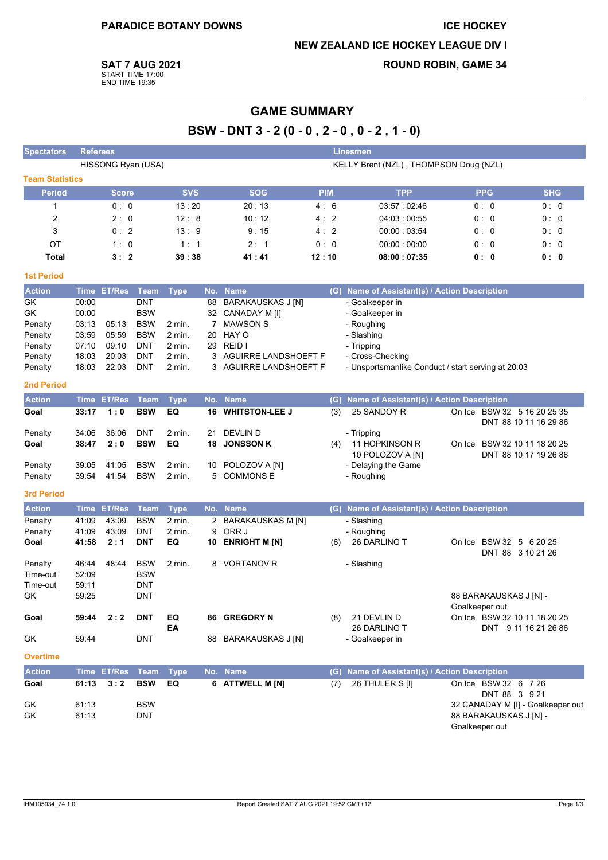### **ICE HOCKEY**

## **NEW ZEALAND ICE HOCKEY LEAGUE DIV I**

**ROUND ROBIN, GAME 34** 

**SAT 7 AUG 2021** 

START TIME 17:00<br>END TIME 19:35

# **GAME SUMMARY**

BSW - DNT 3 - 2 (0 - 0, 2 - 0, 0 - 2, 1 - 0)

| <b>Spectators</b>      | <b>Referees</b> |                    |                          |                                        |     |                          |            |                | <b>Linesmen</b>                                    |  |                                              |                                                       |
|------------------------|-----------------|--------------------|--------------------------|----------------------------------------|-----|--------------------------|------------|----------------|----------------------------------------------------|--|----------------------------------------------|-------------------------------------------------------|
|                        |                 |                    | HISSONG Ryan (USA)       | KELLY Brent (NZL), THOMPSON Doug (NZL) |     |                          |            |                |                                                    |  |                                              |                                                       |
| <b>Team Statistics</b> |                 |                    |                          |                                        |     |                          |            |                |                                                    |  |                                              |                                                       |
| <b>Period</b>          |                 | <b>Score</b>       |                          | <b>SVS</b>                             |     | <b>SOG</b>               | <b>PIM</b> |                | <b>TPP</b>                                         |  | <b>PPG</b>                                   | <b>SHG</b>                                            |
| 1                      |                 | 0: 0               |                          | 13:20                                  |     | 20:13                    | 4:6        |                | 03:57:02:46                                        |  | 0:0                                          | 0:0                                                   |
| 2                      |                 | 2:0                |                          | 12:8                                   |     | 10:12                    | 4:2        |                | 04:03:00:55                                        |  | 0: 0                                         | 0:0                                                   |
| 3                      |                 | 0:2                |                          | 13:9                                   |     | 9:15                     | 4:         | $\overline{2}$ | 00:00:03:54                                        |  | 0:0                                          | 0:0                                                   |
| ОT                     |                 | 1:0                |                          | 1:1                                    |     | 2:1                      | 0:0        |                | 00.00:00:00                                        |  | 0:0                                          | 0:0                                                   |
| Total                  |                 | 3:2                |                          | 39 : 38                                |     | 41 : 41                  | 12:10      |                | 08:00:07:35                                        |  | 0:0                                          | 0:0                                                   |
| <b>1st Period</b>      |                 |                    |                          |                                        |     |                          |            |                |                                                    |  |                                              |                                                       |
| <b>Action</b>          | Time            | <b>ET/Res</b>      | <b>Team</b>              | <b>Type</b>                            | No. | <b>Name</b>              |            |                | (G) Name of Assistant(s) / Action Description      |  |                                              |                                                       |
| GK                     | 00:00           |                    | <b>DNT</b>               |                                        | 88  | <b>BARAKAUSKAS J [N]</b> |            |                | - Goalkeeper in                                    |  |                                              |                                                       |
| GK                     | 00:00           |                    | <b>BSW</b>               |                                        |     | 32 CANADAY M [I]         |            |                | - Goalkeeper in                                    |  |                                              |                                                       |
| Penalty                | 03:13           | 05:13              | <b>BSW</b>               | 2 min.                                 | 7   | <b>MAWSON S</b>          |            |                | - Roughing                                         |  |                                              |                                                       |
| Penalty<br>Penalty     | 03:59<br>07:10  | 05:59<br>09:10     | <b>BSW</b><br><b>DNT</b> | 2 min.<br>2 min.                       | 20  | HAY O<br>29 REID I       |            |                | - Slashing<br>- Tripping                           |  |                                              |                                                       |
| Penalty                | 18:03           | 20:03              | <b>DNT</b>               | 2 min.                                 | 3   | AGUIRRE LANDSHOEFT F     |            |                | - Cross-Checking                                   |  |                                              |                                                       |
| Penalty                | 18:03           | 22:03              | <b>DNT</b>               | 2 min.                                 |     | 3 AGUIRRE LANDSHOEFT F   |            |                | - Unsportsmanlike Conduct / start serving at 20:03 |  |                                              |                                                       |
| <b>2nd Period</b>      |                 |                    |                          |                                        |     |                          |            |                |                                                    |  |                                              |                                                       |
| <b>Action</b>          |                 | Time ET/Res        | <b>Team</b>              | <b>Type</b>                            | No. | <b>Name</b>              |            | (G)            | Name of Assistant(s) / Action Description          |  |                                              |                                                       |
| Goal                   | 33:17           | 1:0                | <b>BSW</b>               | EQ                                     | 16  | <b>WHITSTON-LEE J</b>    |            | (3)            | 25 SANDOY R                                        |  |                                              | On Ice BSW 32 5 16 20 25 35<br>DNT 88 10 11 16 29 86  |
| Penalty                | 34:06           | 36:06              | <b>DNT</b>               | $2$ min.                               | 21  | <b>DEVLIND</b>           |            |                | - Tripping                                         |  |                                              |                                                       |
| Goal                   | 38:47           | 2:0                | <b>BSW</b>               | EQ                                     | 18  | <b>JONSSON K</b>         |            | (4)            | 11 HOPKINSON R<br>10 POLOZOV A [N]                 |  |                                              | On Ice BSW 32 10 11 18 20 25<br>DNT 88 10 17 19 26 86 |
| Penalty                | 39:05           | 41:05              | <b>BSW</b>               | 2 min.                                 |     | 10 POLOZOV A [N]         |            |                | - Delaying the Game                                |  |                                              |                                                       |
| Penalty                | 39.54           | 41:54              | <b>BSW</b>               | 2 min.                                 |     | 5 COMMONS E              |            |                | - Roughing                                         |  |                                              |                                                       |
| <b>3rd Period</b>      |                 |                    |                          |                                        |     |                          |            |                |                                                    |  |                                              |                                                       |
| <b>Action</b>          |                 | <b>Time ET/Res</b> | <b>Team</b>              | <b>Type</b>                            | No. | <b>Name</b>              |            | (G)            | Name of Assistant(s) / Action Description          |  |                                              |                                                       |
| Penalty                | 41:09           | 43.09              | <b>BSW</b>               | 2 min.                                 | 2   | BARAKAUSKAS M [N]        |            |                | - Slashing                                         |  |                                              |                                                       |
| Penalty                | 41:09           | 43:09              | <b>DNT</b>               | 2 min.                                 | 9   | ORR J                    |            |                | - Roughing                                         |  |                                              |                                                       |
| Goal                   | 41:58           | 2:1                | <b>DNT</b>               | EQ                                     | 10  | <b>ENRIGHT M [N]</b>     |            | (6)            | 26 DARLING T                                       |  | On Ice BSW 32 5 6 20 25<br>DNT 88 3 10 21 26 |                                                       |
| Penalty                | 46:44           | 48:44              | <b>BSW</b>               | 2 min.                                 | 8   | <b>VORTANOV R</b>        |            |                | - Slashing                                         |  |                                              |                                                       |
| Time-out               | 52:09           |                    | <b>BSW</b>               |                                        |     |                          |            |                |                                                    |  |                                              |                                                       |
| Time-out               | 59:11<br>59:25  |                    | DNT<br>DNT               |                                        |     |                          |            |                |                                                    |  | 88 BARAKAUSKAS J [N] -                       |                                                       |
| GK                     |                 |                    |                          |                                        |     |                          |            |                |                                                    |  | Goalkeeper out                               |                                                       |
| Goal                   | 59:44           | 2:2                | <b>DNT</b>               | EQ<br>EA                               |     | 86 GREGORY N             |            | (8)            | 21 DEVLIN D<br>26 DARLING T                        |  |                                              | On Ice BSW 32 10 11 18 20 25<br>DNT 9 11 16 21 26 86  |
| GK                     | 59:44           |                    | DNT                      |                                        |     | 88 BARAKAUSKAS J [N]     |            |                | - Goalkeeper in                                    |  |                                              |                                                       |
| <b>Overtime</b>        |                 |                    |                          |                                        |     |                          |            |                |                                                    |  |                                              |                                                       |
| <b>Action</b>          |                 | <b>Time ET/Res</b> | <b>Team</b>              | <b>Type</b>                            |     | No. Name                 |            | (G)            | Name of Assistant(s) / Action Description          |  |                                              |                                                       |
| Goal                   | 61:13           | 3:2                | <b>BSW</b>               | EQ                                     |     | 6 ATTWELL M [N]          |            | (7)            | 26 THULER S [I]                                    |  | On Ice BSW 32 6 7 26<br>DNT 88 3 9 21        |                                                       |
| GK<br>GK               | 61:13<br>61:13  |                    | <b>BSW</b><br>DNT        |                                        |     |                          |            |                |                                                    |  | 88 BARAKAUSKAS J [N] -<br>Goalkeeper out     | 32 CANADAY M [I] - Goalkeeper out                     |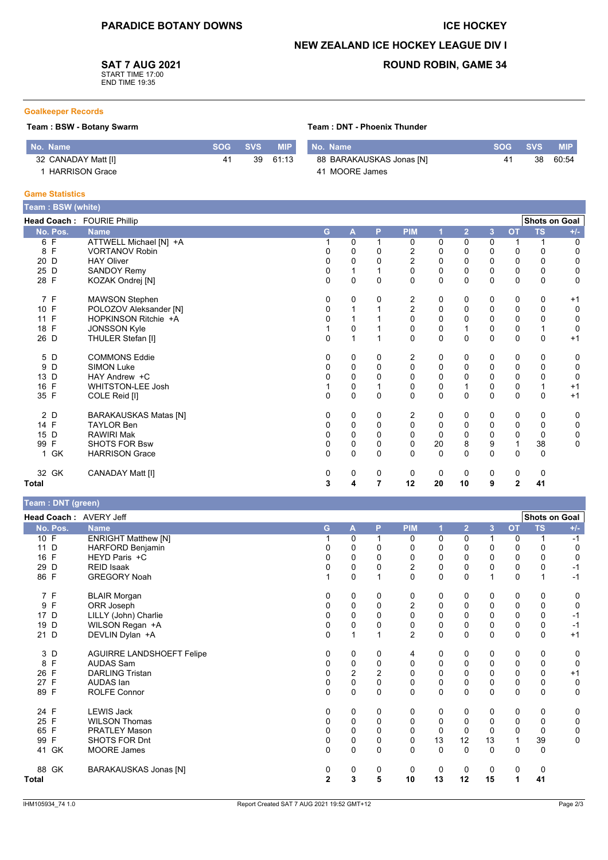## **ICE HOCKEY**

## **NEW ZEALAND ICE HOCKEY LEAGUE DIV I**

**SAT 7 AUG 2021** 

START TIME 17:00<br>END TIME 19:35

## **ROUND ROBIN, GAME 34**

#### **Goalkeeper Records**

## Team: BSW - Botany Swarm

| No. Name              | SOG SVS | <b>MIP</b> | No. Name                 | SOG SVS |    | <b>MIP</b> |
|-----------------------|---------|------------|--------------------------|---------|----|------------|
| 32 CANADAY Matt [I]   |         | 39 61:13   | 88 BARAKAUSKAS Jonas [N] | 41      | 38 | 60.54      |
| <b>HARRISON Grace</b> |         |            | 41 MOORE James           |         |    |            |

### **Game Statistics**

| Team: BSW (white) |                              |   |                |              |                |              |                |                |              |                      |             |
|-------------------|------------------------------|---|----------------|--------------|----------------|--------------|----------------|----------------|--------------|----------------------|-------------|
|                   | Head Coach: FOURIE Phillip   |   |                |              |                |              |                |                |              | <b>Shots on Goal</b> |             |
| No. Pos.          | <b>Name</b>                  | G | $\mathbf{A}$   | P            | <b>PIM</b>     |              | $\overline{2}$ | $\overline{3}$ | <b>OT</b>    | <b>TS</b>            | $+/-$       |
| F<br>6            | ATTWELL Michael [N] +A       |   | 0              |              | 0              | 0            | 0              | 0              |              |                      | 0           |
| 8<br>F            | <b>VORTANOV Robin</b>        | 0 | 0              | 0            | 2              | 0            | 0              | 0              | 0            | 0                    | 0           |
| 20<br>D           | <b>HAY Oliver</b>            | 0 | 0              | 0            | $\overline{c}$ | 0            | 0              | 0              | 0            | $\mathbf 0$          | 0           |
| 25 D              | <b>SANDOY Remy</b>           | 0 | 1              |              | 0              | $\mathbf 0$  | 0              | 0              | $\pmb{0}$    | $\mathbf 0$          | 0           |
| 28 F              | KOZAK Ondrej [N]             | 0 | 0              | 0            | $\Omega$       | $\mathbf 0$  | $\Omega$       | 0              | 0            | $\Omega$             | 0           |
| 7 F               | <b>MAWSON Stephen</b>        | 0 | 0              | 0            | 2              | 0            | 0              | 0              | 0            | 0                    | $+1$        |
| 10 F              | POLOZOV Aleksander [N]       | 0 | 1              |              | $\overline{2}$ | $\pmb{0}$    | $\Omega$       | $\mathbf 0$    | $\pmb{0}$    | $\Omega$             | $\mathbf 0$ |
| 11 F              | HOPKINSON Ritchie +A         | 0 |                |              | 0              | 0            | $\Omega$       | 0              | 0            | 0                    | $\mathbf 0$ |
| 18 F              | <b>JONSSON Kyle</b>          |   | 0              |              | 0              | $\pmb{0}$    |                | 0              | $\pmb{0}$    |                      | $\mathbf 0$ |
| 26 D              | THULER Stefan [I]            | 0 | 1              |              | $\Omega$       | $\mathbf 0$  | $\Omega$       | 0              | $\mathbf 0$  | $\mathbf 0$          | $+1$        |
| 5 D               | <b>COMMONS Eddie</b>         | 0 | 0              | 0            | 2              | 0            | 0              | 0              | 0            | 0                    | 0           |
| 9<br>D            | <b>SIMON Luke</b>            | 0 | 0              | 0            | 0              | 0            | 0              | $\mathbf 0$    | $\mathbf 0$  | $\Omega$             | 0           |
| 13<br>D           | HAY Andrew +C                | 0 | 0              | 0            | $\Omega$       | $\mathbf 0$  | $\Omega$       | 0              | $\pmb{0}$    | 0                    | $\mathbf 0$ |
| 16<br>F           | <b>WHITSTON-LEE Josh</b>     |   | 0              |              | 0              | 0            |                | 0              | $\pmb{0}$    |                      | $+1$        |
| 35 F              | COLE Reid [I]                | 0 | $\overline{0}$ | $\Omega$     | 0              | $\mathbf{0}$ | $\Omega$       | $\mathbf{0}$   | $\Omega$     | $\Omega$             | $+1$        |
| 2 D               | <b>BARAKAUSKAS Matas [N]</b> | 0 | 0              | 0            | 2              | 0            | 0              | 0              | 0            | 0                    | 0           |
| 14 F              | <b>TAYLOR Ben</b>            |   | 0              | 0            | 0              | 0            | 0              | 0              | 0            | $\Omega$             | 0           |
| 15 D              | <b>RAWIRI Mak</b>            | 0 | 0              | $\Omega$     | $\Omega$       | $\mathbf 0$  | 0              | 0              | $\mathbf 0$  | $\Omega$             | 0           |
| 99<br>F           | <b>SHOTS FOR Bsw</b>         | 0 | 0              | 0            | $\mathbf 0$    | 20           | 8              | 9              | $\mathbf{1}$ | 38                   | 0           |
| GK<br>1           | <b>HARRISON Grace</b>        | 0 | $\overline{0}$ | $\mathbf{0}$ | $\Omega$       | $\Omega$     | $\Omega$       | $\Omega$       | $\Omega$     | $\Omega$             |             |
| 32 GK             | CANADAY Matt [I]             | 0 | 0              | 0            | 0              | 0            | $\Omega$       | 0              | 0            | 0                    |             |
| Total             |                              | 3 | 4              | 7            | 12             | 20           | 10             | 9              | $\mathbf{2}$ | 41                   |             |

## Team · DNT (green)

| $1$ caill . Divi (yiccii) |                                  |             |             |          |                  |             |                |              |           |                      |             |
|---------------------------|----------------------------------|-------------|-------------|----------|------------------|-------------|----------------|--------------|-----------|----------------------|-------------|
| Head Coach: AVERY Jeff    |                                  |             |             |          |                  |             |                |              |           | <b>Shots on Goal</b> |             |
| No. Pos.                  | <b>Name</b>                      | G           | A           | P        | <b>PIM</b>       |             | $\overline{2}$ | 3            | <b>OT</b> | <b>TS</b>            | $+/-$       |
| 10 F                      | <b>ENRIGHT Matthew [N]</b>       |             | 0           |          | 0                | 0           | 0              | $\mathbf{1}$ | 0         |                      | $-1$        |
| 11 D                      | <b>HARFORD Benjamin</b>          | 0           | 0           | 0        | 0                | 0           | 0              | $\Omega$     | 0         | 0                    | 0           |
| 16 F                      | HEYD Paris +C                    |             | 0           | $\Omega$ | 0                | 0           | 0              | 0            | 0         | 0                    | $\Omega$    |
| 29 D                      | <b>REID Isaak</b>                |             | 0           | 0        | $\overline{c}$   | 0           | 0              | 0            | 0         | 0                    | -1          |
| 86 F                      | <b>GREGORY Noah</b>              |             | 0           |          | $\Omega$         | 0           | 0              | $\mathbf 1$  | $\Omega$  | 1                    | $-1$        |
| 7 F                       | <b>BLAIR Morgan</b>              | 0           | 0           | 0        | 0                | 0           | 0              | 0            | 0         | 0                    | 0           |
| 9 F                       | ORR Joseph                       | 0           | 0           | 0        | $\boldsymbol{2}$ | 0           | 0              | 0            | 0         | 0                    | 0           |
| 17 D                      | LILLY (John) Charlie             | 0           | $\mathbf 0$ | $\Omega$ | $\mathbf 0$      | 0           | 0              | $\mathbf 0$  | 0         | $\Omega$             | $-1$        |
| 19 D                      | WILSON Regan +A                  | 0           | 0           | 0        | $\pmb{0}$        | 0           | 0              | 0            | 0         | 0                    | $-1$        |
| 21 D                      | DEVLIN Dylan +A                  | $\Omega$    |             | 1        | $\overline{2}$   | $\mathbf 0$ | 0              | $\Omega$     | $\Omega$  | $\mathbf{0}$         | $+1$        |
| 3 D                       | <b>AGUIRRE LANDSHOEFT Felipe</b> | 0           | 0           | 0        | 4                | 0           | 0              | 0            | 0         | 0                    | 0           |
| $\mathsf{F}$<br>8         | <b>AUDAS Sam</b>                 | 0           | 0           | 0        | 0                | 0           | 0              | $\mathbf 0$  | 0         | 0                    | $\mathbf 0$ |
| 26 F                      | <b>DARLING Tristan</b>           | 0           | 2           | 2        | 0                | 0           | 0              | 0            | 0         | 0                    | $+1$        |
| 27 F                      | AUDAS Ian                        | 0           | $\mathbf 0$ | $\Omega$ | $\Omega$         | 0           | 0              | 0            | 0         | 0                    | 0           |
| 89 F                      | <b>ROLFE Connor</b>              | $\mathbf 0$ | $\mathbf 0$ | 0        | $\mathbf 0$      | 0           | 0              | 0            | 0         | 0                    | $\mathbf 0$ |
| 24 F                      | <b>LEWIS Jack</b>                | 0           | 0           | 0        | 0                | 0           | 0              | 0            | 0         | 0                    | 0           |
| 25 F                      | <b>WILSON Thomas</b>             | 0           | 0           | $\Omega$ | 0                | $\Omega$    | 0              | $\mathbf 0$  | 0         | $\Omega$             | 0           |
| 65 F                      | <b>PRATLEY Mason</b>             | 0           | $\mathbf 0$ | $\Omega$ | $\mathbf 0$      | $\mathbf 0$ | $\mathbf 0$    | $\mathbf 0$  | 0         | $\mathbf 0$          | 0           |
| 99 F                      | SHOTS FOR Dnt                    | 0           | $\mathbf 0$ | 0        | $\pmb{0}$        | 13          | 12             | 13           | 1         | 39                   | $\mathbf 0$ |
| 41 GK                     | <b>MOORE James</b>               | $\Omega$    | $\Omega$    | $\Omega$ | $\Omega$         | $\Omega$    | $\Omega$       | $\Omega$     | $\Omega$  | $\Omega$             |             |
| 88 GK                     | BARAKAUSKAS Jonas [N]            | 0           | 0           | 0        | 0                | 0           | 0              | 0            | 0         | 0                    |             |
| Total                     |                                  | 2           | 3           | 5        | 10               | 13          | 12             | 15           | 1         | 41                   |             |